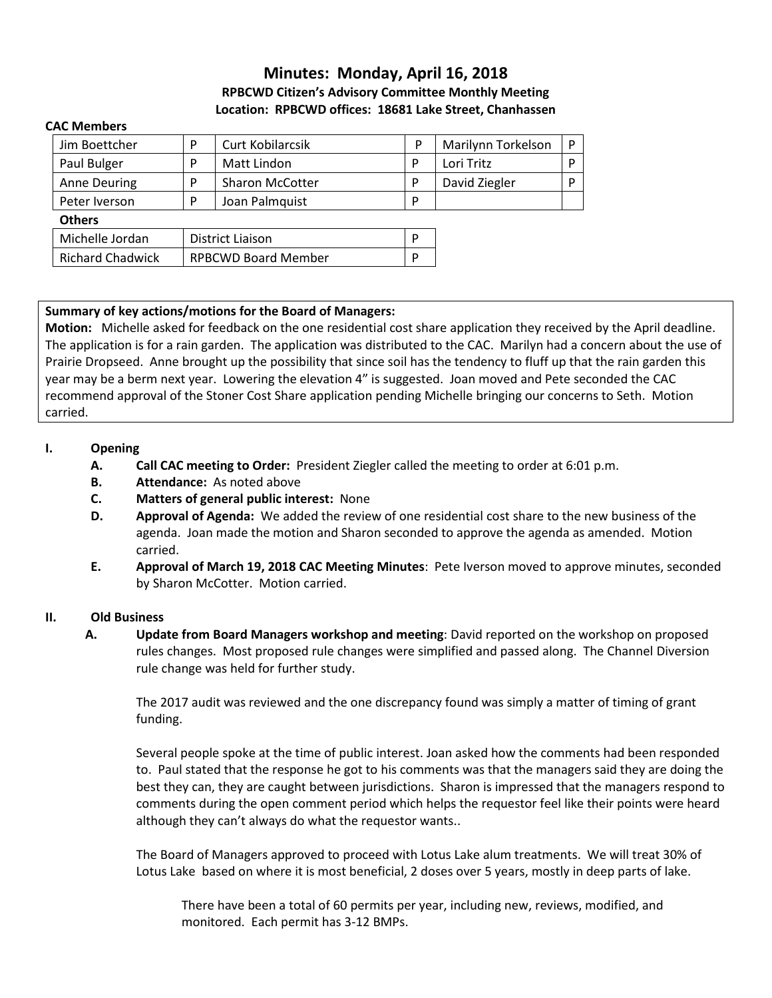# **Minutes: Monday, April 16, 2018 RPBCWD Citizen's Advisory Committee Monthly Meeting Location: RPBCWD offices: 18681 Lake Street, Chanhassen**

#### **CAC Members**

| Jim Boettcher           | P                          | Curt Kobilarcsik       | P | Marilynn Torkelson | D |
|-------------------------|----------------------------|------------------------|---|--------------------|---|
| Paul Bulger             | P                          | Matt Lindon            | P | Lori Tritz         | D |
| <b>Anne Deuring</b>     | P                          | <b>Sharon McCotter</b> | D | David Ziegler      | D |
| Peter Iverson           | P                          | Joan Palmquist         | D |                    |   |
| <b>Others</b>           |                            |                        |   |                    |   |
| Michelle Jordan         | District Liaison           |                        | D |                    |   |
| <b>Richard Chadwick</b> | <b>RPBCWD Board Member</b> |                        | D |                    |   |

### **Summary of key actions/motions for the Board of Managers:**

**Motion:** Michelle asked for feedback on the one residential cost share application they received by the April deadline. The application is for a rain garden. The application was distributed to the CAC. Marilyn had a concern about the use of Prairie Dropseed. Anne brought up the possibility that since soil has the tendency to fluff up that the rain garden this year may be a berm next year. Lowering the elevation 4" is suggested. Joan moved and Pete seconded the CAC recommend approval of the Stoner Cost Share application pending Michelle bringing our concerns to Seth. Motion carried.

#### **I. Opening**

- **A. Call CAC meeting to Order:** President Ziegler called the meeting to order at 6:01 p.m.
- **B. Attendance:** As noted above
- **C. Matters of general public interest:** None
- **D. Approval of Agenda:** We added the review of one residential cost share to the new business of the agenda. Joan made the motion and Sharon seconded to approve the agenda as amended. Motion carried.
- **E. Approval of March 19, 2018 CAC Meeting Minutes**: Pete Iverson moved to approve minutes, seconded by Sharon McCotter. Motion carried.

#### **II. Old Business**

**A. Update from Board Managers workshop and meeting**: David reported on the workshop on proposed rules changes. Most proposed rule changes were simplified and passed along. The Channel Diversion rule change was held for further study.

The 2017 audit was reviewed and the one discrepancy found was simply a matter of timing of grant funding.

Several people spoke at the time of public interest. Joan asked how the comments had been responded to. Paul stated that the response he got to his comments was that the managers said they are doing the best they can, they are caught between jurisdictions. Sharon is impressed that the managers respond to comments during the open comment period which helps the requestor feel like their points were heard although they can't always do what the requestor wants..

The Board of Managers approved to proceed with Lotus Lake alum treatments. We will treat 30% of Lotus Lake based on where it is most beneficial, 2 doses over 5 years, mostly in deep parts of lake.

There have been a total of 60 permits per year, including new, reviews, modified, and monitored. Each permit has 3-12 BMPs.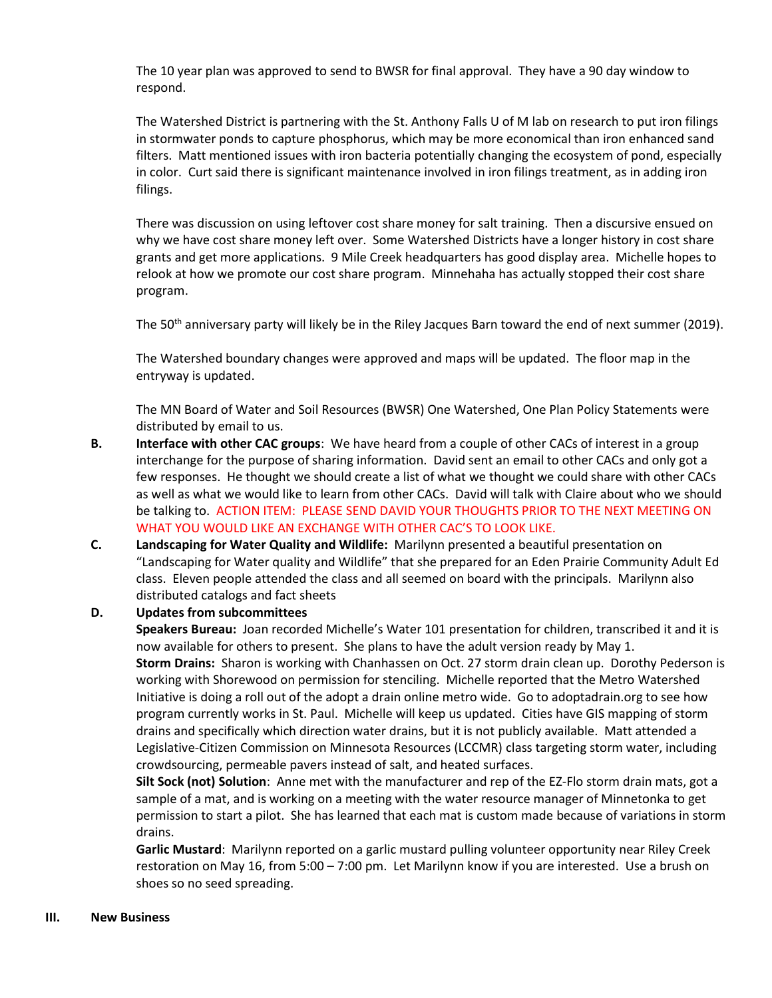The 10 year plan was approved to send to BWSR for final approval. They have a 90 day window to respond.

The Watershed District is partnering with the St. Anthony Falls U of M lab on research to put iron filings in stormwater ponds to capture phosphorus, which may be more economical than iron enhanced sand filters. Matt mentioned issues with iron bacteria potentially changing the ecosystem of pond, especially in color. Curt said there is significant maintenance involved in iron filings treatment, as in adding iron filings.

There was discussion on using leftover cost share money for salt training. Then a discursive ensued on why we have cost share money left over. Some Watershed Districts have a longer history in cost share grants and get more applications. 9 Mile Creek headquarters has good display area. Michelle hopes to relook at how we promote our cost share program. Minnehaha has actually stopped their cost share program.

The 50<sup>th</sup> anniversary party will likely be in the Riley Jacques Barn toward the end of next summer (2019).

The Watershed boundary changes were approved and maps will be updated. The floor map in the entryway is updated.

The MN Board of Water and Soil Resources (BWSR) One Watershed, One Plan Policy Statements were distributed by email to us.

- **B. Interface with other CAC groups**: We have heard from a couple of other CACs of interest in a group interchange for the purpose of sharing information.David sent an email to other CACs and only got a few responses. He thought we should create a list of what we thought we could share with other CACs as well as what we would like to learn from other CACs. David will talk with Claire about who we should be talking to. ACTION ITEM: PLEASE SEND DAVID YOUR THOUGHTS PRIOR TO THE NEXT MEETING ON WHAT YOU WOULD LIKE AN EXCHANGE WITH OTHER CAC'S TO LOOK LIKE.
- **C. Landscaping for Water Quality and Wildlife:** Marilynn presented a beautiful presentation on "Landscaping for Water quality and Wildlife" that she prepared for an Eden Prairie Community Adult Ed class. Eleven people attended the class and all seemed on board with the principals. Marilynn also distributed catalogs and fact sheets

#### **D. Updates from subcommittees**

**Speakers Bureau:** Joan recorded Michelle's Water 101 presentation for children, transcribed it and it is now available for others to present. She plans to have the adult version ready by May 1. **Storm Drains:** Sharon is working with Chanhassen on Oct. 27 storm drain clean up. Dorothy Pederson is working with Shorewood on permission for stenciling. Michelle reported that the Metro Watershed Initiative is doing a roll out of the adopt a drain online metro wide. Go to adoptadrain.org to see how program currently works in St. Paul. Michelle will keep us updated. Cities have GIS mapping of storm drains and specifically which direction water drains, but it is not publicly available. Matt attended a Legislative-Citizen Commission on Minnesota Resources (LCCMR) class targeting storm water, including crowdsourcing, permeable pavers instead of salt, and heated surfaces.

**Silt Sock (not) Solution**: Anne met with the manufacturer and rep of the EZ-Flo storm drain mats, got a sample of a mat, and is working on a meeting with the water resource manager of Minnetonka to get permission to start a pilot. She has learned that each mat is custom made because of variations in storm drains.

**Garlic Mustard**: Marilynn reported on a garlic mustard pulling volunteer opportunity near Riley Creek restoration on May 16, from 5:00 – 7:00 pm. Let Marilynn know if you are interested. Use a brush on shoes so no seed spreading.